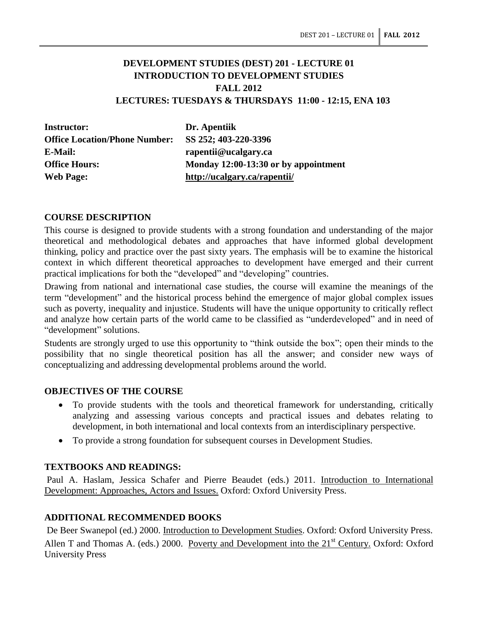# **DEVELOPMENT STUDIES (DEST) 201 - LECTURE 01 INTRODUCTION TO DEVELOPMENT STUDIES FALL 2012 LECTURES: TUESDAYS & THURSDAYS 11:00 - 12:15, ENA 103**

**Instructor: Dr. Apentiik Office Location/Phone Number: SS 252; 403-220-3396 E-Mail: rapentii@ucalgary.ca Web Page: http://ucalgary.ca/rapentii/**

**Office Hours: Monday 12:00-13:30 or by appointment**

### **COURSE DESCRIPTION**

This course is designed to provide students with a strong foundation and understanding of the major theoretical and methodological debates and approaches that have informed global development thinking, policy and practice over the past sixty years. The emphasis will be to examine the historical context in which different theoretical approaches to development have emerged and their current practical implications for both the "developed" and "developing" countries.

Drawing from national and international case studies, the course will examine the meanings of the term "development" and the historical process behind the emergence of major global complex issues such as poverty, inequality and injustice. Students will have the unique opportunity to critically reflect and analyze how certain parts of the world came to be classified as "underdeveloped" and in need of "development" solutions.

Students are strongly urged to use this opportunity to "think outside the box"; open their minds to the possibility that no single theoretical position has all the answer; and consider new ways of conceptualizing and addressing developmental problems around the world.

#### **OBJECTIVES OF THE COURSE**

- To provide students with the tools and theoretical framework for understanding, critically analyzing and assessing various concepts and practical issues and debates relating to development, in both international and local contexts from an interdisciplinary perspective.
- To provide a strong foundation for subsequent courses in Development Studies.

## **TEXTBOOKS AND READINGS:**

Paul A. Haslam, Jessica Schafer and Pierre Beaudet (eds.) 2011. Introduction to International Development: Approaches, Actors and Issues. Oxford: Oxford University Press.

# **ADDITIONAL RECOMMENDED BOOKS**

De Beer Swanepol (ed.) 2000. Introduction to Development Studies. Oxford: Oxford University Press. Allen T and Thomas A. (eds.) 2000. Poverty and Development into the  $21<sup>st</sup>$  Century. Oxford: Oxford University Press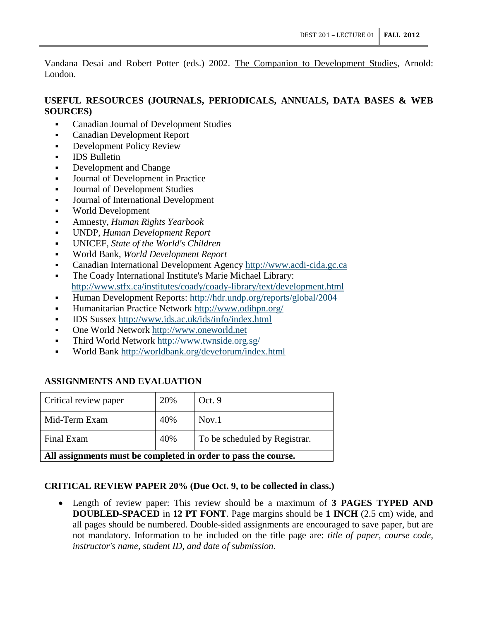Vandana Desai and Robert Potter (eds.) 2002. The Companion to Development Studies, Arnold: London.

# **USEFUL RESOURCES (JOURNALS, PERIODICALS, ANNUALS, DATA BASES & WEB SOURCES)**

- Canadian Journal of Development Studies
- Canadian Development Report
- **Development Policy Review**
- **IDS** Bulletin
- Development and Change
- Journal of Development in Practice
- Journal of Development Studies
- Journal of International Development
- World Development
- Amnesty, *Human Rights Yearbook*
- UNDP, *Human Development Report*
- UNICEF, *State of the World's Children*
- World Bank, *World Development Report*
- Canadian International Development Agency [http://www.acdi-cida.gc.ca](http://www.acdi-cida.gc.ca/)
- The Coady International Institute's Marie Michael Library: http://www.stfx.ca/institutes/coady/coady-library/text/development.html
- Human Development Reports: http://hdr.undp.org/reports/global/2004
- Humanitarian Practice Network http://www.odihpn.org/
- IDS Sussex http://www.ids.ac.uk/ids/info/index.html
- One World Network http://www.oneworld.net
- Third World Network http://www.twnside.org.sg/
- World Bank http://worldbank.org/deveforum/index.html

# **ASSIGNMENTS AND EVALUATION**

| Critical review paper                                          | 20% | Oct. 9                        |
|----------------------------------------------------------------|-----|-------------------------------|
| Mid-Term Exam                                                  | 40% | Nov.1                         |
| Final Exam                                                     | 40% | To be scheduled by Registrar. |
| All assignments must be completed in order to pass the course. |     |                               |

# **CRITICAL REVIEW PAPER 20% (Due Oct. 9, to be collected in class.)**

 Length of review paper: This review should be a maximum of **3 PAGES TYPED AND DOUBLED-SPACED** in **12 PT FONT**. Page margins should be **1 INCH** (2.5 cm) wide, and all pages should be numbered. Double-sided assignments are encouraged to save paper, but are not mandatory. Information to be included on the title page are: *title of paper, course code, instructor's name, student ID, and date of submission*.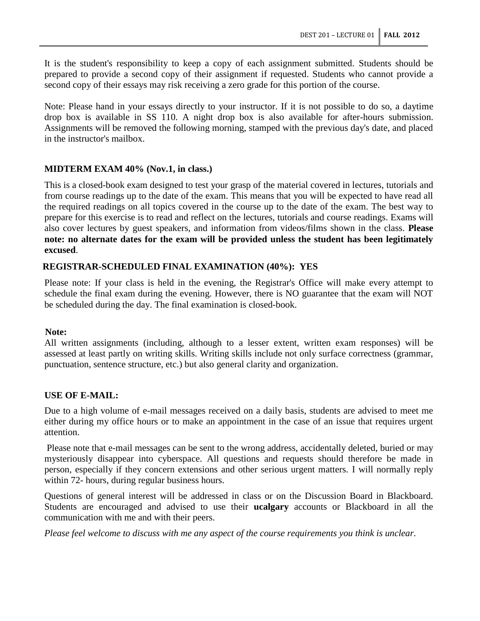It is the student's responsibility to keep a copy of each assignment submitted. Students should be prepared to provide a second copy of their assignment if requested. Students who cannot provide a second copy of their essays may risk receiving a zero grade for this portion of the course.

Note: Please hand in your essays directly to your instructor. If it is not possible to do so, a daytime drop box is available in SS 110. A night drop box is also available for after-hours submission. Assignments will be removed the following morning, stamped with the previous day's date, and placed in the instructor's mailbox.

# **MIDTERM EXAM 40% (Nov.1, in class.)**

This is a closed-book exam designed to test your grasp of the material covered in lectures, tutorials and from course readings up to the date of the exam. This means that you will be expected to have read all the required readings on all topics covered in the course up to the date of the exam. The best way to prepare for this exercise is to read and reflect on the lectures, tutorials and course readings. Exams will also cover lectures by guest speakers, and information from videos/films shown in the class. **Please note: no alternate dates for the exam will be provided unless the student has been legitimately excused**.

### **REGISTRAR-SCHEDULED FINAL EXAMINATION (40%): YES**

Please note: If your class is held in the evening, the Registrar's Office will make every attempt to schedule the final exam during the evening. However, there is NO guarantee that the exam will NOT be scheduled during the day. The final examination is closed-book.

#### **Note:**

All written assignments (including, although to a lesser extent, written exam responses) will be assessed at least partly on writing skills. Writing skills include not only surface correctness (grammar, punctuation, sentence structure, etc.) but also general clarity and organization.

#### **USE OF E-MAIL:**

Due to a high volume of e-mail messages received on a daily basis, students are advised to meet me either during my office hours or to make an appointment in the case of an issue that requires urgent attention.

Please note that e-mail messages can be sent to the wrong address, accidentally deleted, buried or may mysteriously disappear into cyberspace. All questions and requests should therefore be made in person, especially if they concern extensions and other serious urgent matters. I will normally reply within 72- hours, during regular business hours.

Questions of general interest will be addressed in class or on the Discussion Board in Blackboard. Students are encouraged and advised to use their **ucalgary** accounts or Blackboard in all the communication with me and with their peers.

*Please feel welcome to discuss with me any aspect of the course requirements you think is unclear.*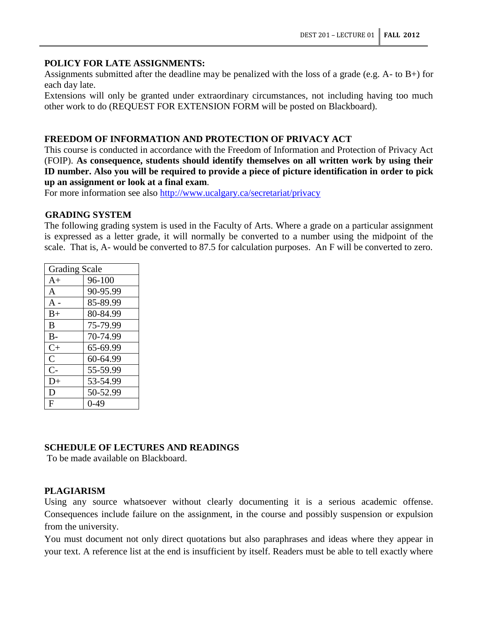### **POLICY FOR LATE ASSIGNMENTS:**

Assignments submitted after the deadline may be penalized with the loss of a grade (e.g. A- to B+) for each day late.

Extensions will only be granted under extraordinary circumstances, not including having too much other work to do (REQUEST FOR EXTENSION FORM will be posted on Blackboard).

# **FREEDOM OF INFORMATION AND PROTECTION OF PRIVACY ACT**

This course is conducted in accordance with the Freedom of Information and Protection of Privacy Act (FOIP). **As consequence, students should identify themselves on all written work by using their ID number. Also you will be required to provide a piece of picture identification in order to pick up an assignment or look at a final exam**.

For more information see also<http://www.ucalgary.ca/secretariat/privacy>

#### **GRADING SYSTEM**

The following grading system is used in the Faculty of Arts. Where a grade on a particular assignment is expressed as a letter grade, it will normally be converted to a number using the midpoint of the scale. That is, A- would be converted to 87.5 for calculation purposes. An F will be converted to zero.

| <b>Grading Scale</b> |          |  |
|----------------------|----------|--|
| $A+$                 | 96-100   |  |
| A                    | 90-95.99 |  |
| $A -$                | 85-89.99 |  |
| $B+$                 | 80-84.99 |  |
| B                    | 75-79.99 |  |
| $B -$                | 70-74.99 |  |
| $C+$                 | 65-69.99 |  |
| $\overline{C}$       | 60-64.99 |  |
| $C-$                 | 55-59.99 |  |
| D+                   | 53-54.99 |  |
| D                    | 50-52.99 |  |
| F                    | $0 - 49$ |  |

# **SCHEDULE OF LECTURES AND READINGS**

To be made available on Blackboard.

# **PLAGIARISM**

Using any source whatsoever without clearly documenting it is a serious academic offense. Consequences include failure on the assignment, in the course and possibly suspension or expulsion from the university.

You must document not only direct quotations but also paraphrases and ideas where they appear in your text. A reference list at the end is insufficient by itself. Readers must be able to tell exactly where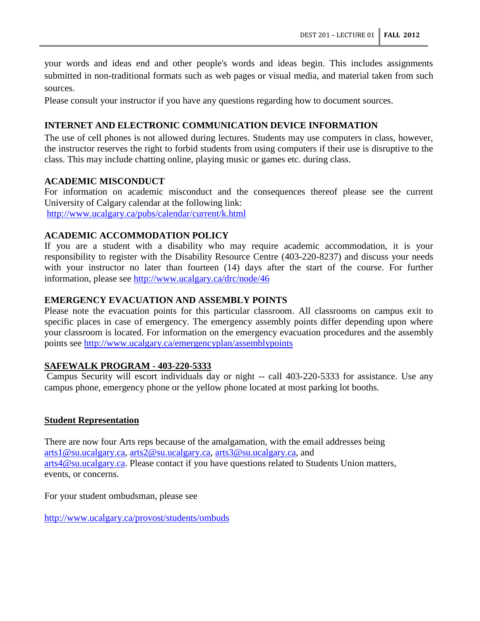your words and ideas end and other people's words and ideas begin. This includes assignments submitted in non-traditional formats such as web pages or visual media, and material taken from such sources.

Please consult your instructor if you have any questions regarding how to document sources.

### **INTERNET AND ELECTRONIC COMMUNICATION DEVICE INFORMATION**

The use of cell phones is not allowed during lectures. Students may use computers in class, however, the instructor reserves the right to forbid students from using computers if their use is disruptive to the class. This may include chatting online, playing music or games etc. during class.

### **ACADEMIC MISCONDUCT**

For information on academic misconduct and the consequences thereof please see the current University of Calgary calendar at the following link: <http://www.ucalgary.ca/pubs/calendar/current/k.html>

### **ACADEMIC ACCOMMODATION POLICY**

If you are a student with a disability who may require academic accommodation, it is your responsibility to register with the Disability Resource Centre (403-220-8237) and discuss your needs with your instructor no later than fourteen (14) days after the start of the course. For further information, please see<http://www.ucalgary.ca/drc/node/46>

### **EMERGENCY EVACUATION AND ASSEMBLY POINTS**

Please note the evacuation points for this particular classroom. All classrooms on campus exit to specific places in case of emergency. The emergency assembly points differ depending upon where your classroom is located. For information on the emergency evacuation procedures and the assembly points see<http://www.ucalgary.ca/emergencyplan/assemblypoints>

#### **SAFEWALK PROGRAM - 403-220-5333**

Campus Security will escort individuals day or night -- call 403-220-5333 for assistance. Use any campus phone, emergency phone or the yellow phone located at most parking lot booths.

#### **Student Representation**

There are now four Arts reps because of the amalgamation, with the email addresses being [arts1@su.ucalgary.ca,](mailto:arts1@su.ucalgary.ca) [arts2@su.ucalgary.ca,](mailto:arts2@su.ucalgary.ca) [arts3@su.ucalgary.ca,](mailto:arts3@su.ucalgary.ca) and [arts4@su.ucalgary.ca.](mailto:arts4@su.ucalgary.ca) Please contact if you have questions related to Students Union matters, events, or concerns.

For your student ombudsman, please see

<http://www.ucalgary.ca/provost/students/ombuds>